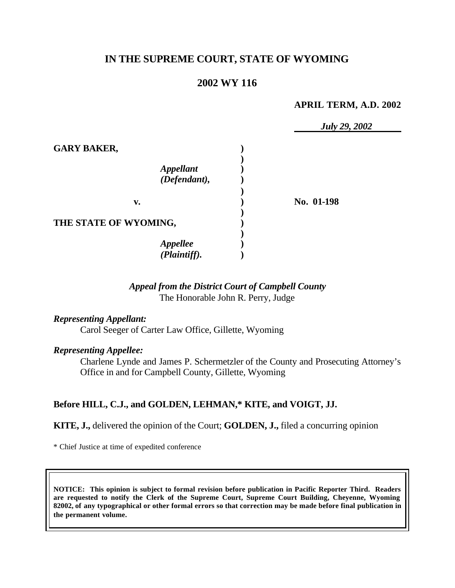# **IN THE SUPREME COURT, STATE OF WYOMING**

# **2002 WY 116**

#### **APRIL TERM, A.D. 2002**

|                                  | <b>July 29, 2002</b> |
|----------------------------------|----------------------|
| <b>GARY BAKER,</b>               |                      |
| <b>Appellant</b><br>(Defendant), |                      |
| v.                               | No. 01-198           |
| THE STATE OF WYOMING,            |                      |
| <b>Appellee</b>                  |                      |
| (Plaintiff).                     |                      |

# *Appeal from the District Court of Campbell County* The Honorable John R. Perry, Judge

## *Representing Appellant:*

Carol Seeger of Carter Law Office, Gillette, Wyoming

#### *Representing Appellee:*

Charlene Lynde and James P. Schermetzler of the County and Prosecuting Attorney's Office in and for Campbell County, Gillette, Wyoming

### **Before HILL, C.J., and GOLDEN, LEHMAN,\* KITE, and VOIGT, JJ.**

#### **KITE, J.,** delivered the opinion of the Court; **GOLDEN, J.,** filed a concurring opinion

\* Chief Justice at time of expedited conference

**NOTICE: This opinion is subject to formal revision before publication in Pacific Reporter Third. Readers are requested to notify the Clerk of the Supreme Court, Supreme Court Building, Cheyenne, Wyoming 82002, of any typographical or other formal errors so that correction may be made before final publication in the permanent volume.**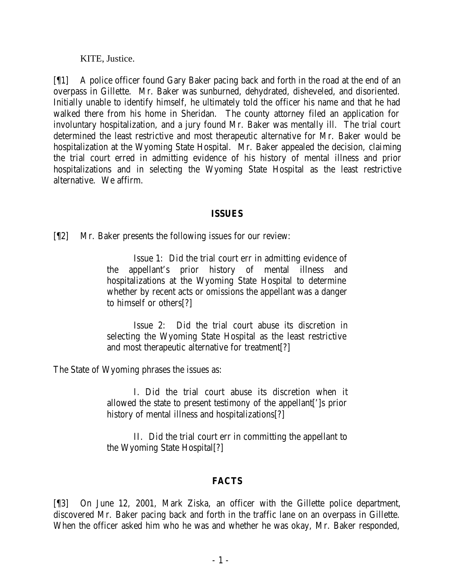KITE, Justice.

[¶1] A police officer found Gary Baker pacing back and forth in the road at the end of an overpass in Gillette. Mr. Baker was sunburned, dehydrated, disheveled, and disoriented. Initially unable to identify himself, he ultimately told the officer his name and that he had walked there from his home in Sheridan. The county attorney filed an application for involuntary hospitalization, and a jury found Mr. Baker was mentally ill. The trial court determined the least restrictive and most therapeutic alternative for Mr. Baker would be hospitalization at the Wyoming State Hospital. Mr. Baker appealed the decision, claiming the trial court erred in admitting evidence of his history of mental illness and prior hospitalizations and in selecting the Wyoming State Hospital as the least restrictive alternative. We affirm.

## **ISSUES**

[¶2] Mr. Baker presents the following issues for our review:

Issue 1: Did the trial court err in admitting evidence of the appellant's prior history of mental illness and hospitalizations at the Wyoming State Hospital to determine whether by recent acts or omissions the appellant was a danger to himself or others[?]

Issue 2: Did the trial court abuse its discretion in selecting the Wyoming State Hospital as the least restrictive and most therapeutic alternative for treatment[?]

The State of Wyoming phrases the issues as:

I. Did the trial court abuse its discretion when it allowed the state to present testimony of the appellant[']s prior history of mental illness and hospitalizations[?]

II. Did the trial court err in committing the appellant to the Wyoming State Hospital[?]

# **FACTS**

[¶3] On June 12, 2001, Mark Ziska, an officer with the Gillette police department, discovered Mr. Baker pacing back and forth in the traffic lane on an overpass in Gillette. When the officer asked him who he was and whether he was okay, Mr. Baker responded,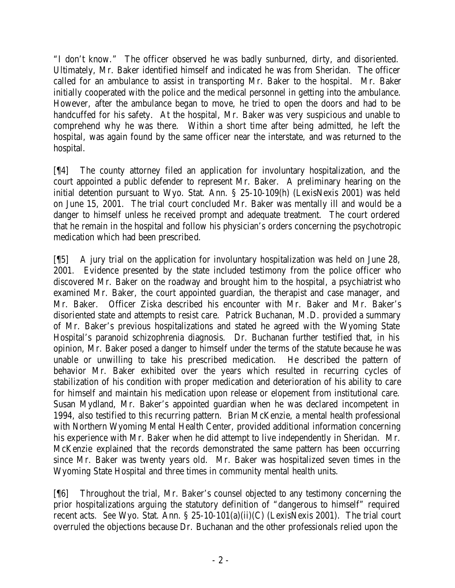"I don't know." The officer observed he was badly sunburned, dirty, and disoriented. Ultimately, Mr. Baker identified himself and indicated he was from Sheridan. The officer called for an ambulance to assist in transporting Mr. Baker to the hospital. Mr. Baker initially cooperated with the police and the medical personnel in getting into the ambulance. However, after the ambulance began to move, he tried to open the doors and had to be handcuffed for his safety. At the hospital, Mr. Baker was very suspicious and unable to comprehend why he was there. Within a short time after being admitted, he left the hospital, was again found by the same officer near the interstate, and was returned to the hospital.

[¶4] The county attorney filed an application for involuntary hospitalization, and the court appointed a public defender to represent Mr. Baker. A preliminary hearing on the initial detention pursuant to Wyo. Stat. Ann. § 25-10-109(h) (LexisNexis 2001) was held on June 15, 2001. The trial court concluded Mr. Baker was mentally ill and would be a danger to himself unless he received prompt and adequate treatment. The court ordered that he remain in the hospital and follow his physician's orders concerning the psychotropic medication which had been prescribed.

[¶5] A jury trial on the application for involuntary hospitalization was held on June 28, 2001. Evidence presented by the state included testimony from the police officer who discovered Mr. Baker on the roadway and brought him to the hospital, a psychiatrist who examined Mr. Baker, the court appointed guardian, the therapist and case manager, and Mr. Baker. Officer Ziska described his encounter with Mr. Baker and Mr. Baker's disoriented state and attempts to resist care. Patrick Buchanan, M.D. provided a summary of Mr. Baker's previous hospitalizations and stated he agreed with the Wyoming State Hospital's paranoid schizophrenia diagnosis. Dr. Buchanan further testified that, in his opinion, Mr. Baker posed a danger to himself under the terms of the statute because he was unable or unwilling to take his prescribed medication. He described the pattern of behavior Mr. Baker exhibited over the years which resulted in recurring cycles of stabilization of his condition with proper medication and deterioration of his ability to care for himself and maintain his medication upon release or elopement from institutional care. Susan Mydland, Mr. Baker's appointed guardian when he was declared incompetent in 1994, also testified to this recurring pattern. Brian McKenzie, a mental health professional with Northern Wyoming Mental Health Center, provided additional information concerning his experience with Mr. Baker when he did attempt to live independently in Sheridan. Mr. McKenzie explained that the records demonstrated the same pattern has been occurring since Mr. Baker was twenty years old. Mr. Baker was hospitalized seven times in the Wyoming State Hospital and three times in community mental health units.

[¶6] Throughout the trial, Mr. Baker's counsel objected to any testimony concerning the prior hospitalizations arguing the statutory definition of "dangerous to himself" required recent acts. *See* Wyo. Stat. Ann. § 25-10-101(a)(ii)(C) (LexisNexis 2001). The trial court overruled the objections because Dr. Buchanan and the other professionals relied upon the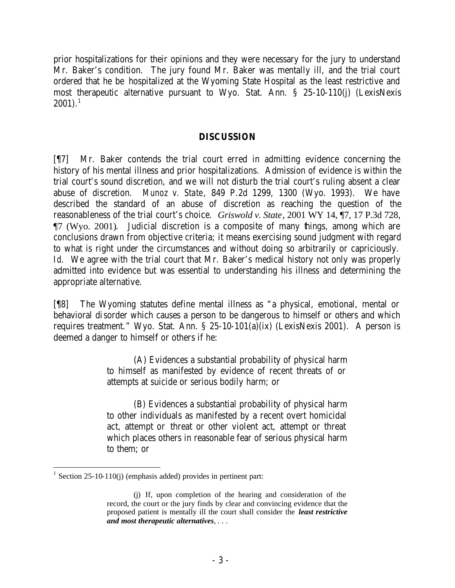prior hospitalizations for their opinions and they were necessary for the jury to understand Mr. Baker's condition. The jury found Mr. Baker was mentally ill, and the trial court ordered that he be hospitalized at the Wyoming State Hospital as the least restrictive and most therapeutic alternative pursuant to Wyo. Stat. Ann. § 25-10-110(j) (LexisNexis  $2001$ ).<sup>1</sup>

### **DISCUSSION**

[¶7] Mr. Baker contends the trial court erred in admitting evidence concerning the history of his mental illness and prior hospitalizations. Admission of evidence is within the trial court's sound discretion, and we will not disturb the trial court's ruling absent a clear abuse of discretion. *Munoz v. State*, 849 P.2d 1299, 1300 (Wyo. 1993). We have described the standard of an abuse of discretion as reaching the question of the reasonableness of the trial court's choice. *Griswold v. State*, 2001 WY 14, ¶7, 17 P.3d 728, ¶7 (Wyo. 2001). Judicial discretion is a composite of many things, among which are conclusions drawn from objective criteria; it means exercising sound judgment with regard to what is right under the circumstances and without doing so arbitrarily or capriciously. *Id.* We agree with the trial court that Mr. Baker's medical history not only was properly admitted into evidence but was essential to understanding his illness and determining the appropriate alternative.

[¶8] The Wyoming statutes define mental illness as "a physical, emotional, mental or behavioral disorder which causes a person to be dangerous to himself or others and which requires treatment." Wyo. Stat. Ann. § 25-10-101(a)(ix) (LexisNexis 2001). A person is deemed a danger to himself or others if he:

> (A) Evidences a substantial probability of physical harm to himself as manifested by evidence of recent threats of or attempts at suicide or serious bodily harm; or

> (B) Evidences a substantial probability of physical harm to other individuals as manifested by a recent overt homicidal act, attempt or threat or other violent act, attempt or threat which places others in reasonable fear of serious physical harm to them; or

<sup>1</sup> Section 25-10-110(j) (emphasis added) provides in pertinent part:

<sup>(</sup>j) If, upon completion of the hearing and consideration of the record, the court or the jury finds by clear and convincing evidence that the proposed patient is mentally ill the court shall consider the *least restrictive and most therapeutic alternatives*, . . .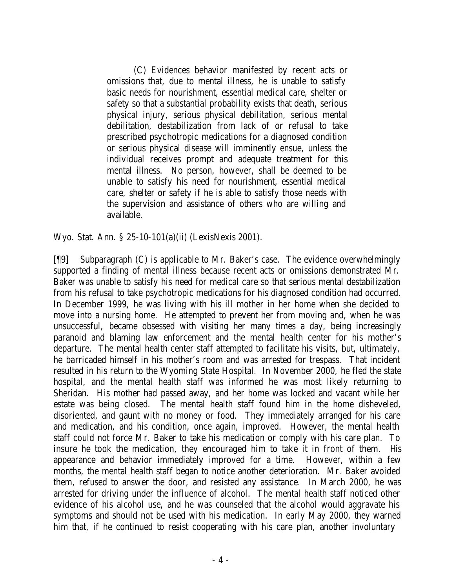(C) Evidences behavior manifested by recent acts or omissions that, due to mental illness, he is unable to satisfy basic needs for nourishment, essential medical care, shelter or safety so that a substantial probability exists that death, serious physical injury, serious physical debilitation, serious mental debilitation, destabilization from lack of or refusal to take prescribed psychotropic medications for a diagnosed condition or serious physical disease will imminently ensue, unless the individual receives prompt and adequate treatment for this mental illness. No person, however, shall be deemed to be unable to satisfy his need for nourishment, essential medical care, shelter or safety if he is able to satisfy those needs with the supervision and assistance of others who are willing and available.

Wyo. Stat. Ann. § 25-10-101(a)(ii) (LexisNexis 2001).

[¶9] Subparagraph (C) is applicable to Mr. Baker's case. The evidence overwhelmingly supported a finding of mental illness because recent acts or omissions demonstrated Mr. Baker was unable to satisfy his need for medical care so that serious mental destabilization from his refusal to take psychotropic medications for his diagnosed condition had occurred. In December 1999, he was living with his ill mother in her home when she decided to move into a nursing home. He attempted to prevent her from moving and, when he was unsuccessful, became obsessed with visiting her many times a day, being increasingly paranoid and blaming law enforcement and the mental health center for his mother's departure. The mental health center staff attempted to facilitate his visits, but, ultimately, he barricaded himself in his mother's room and was arrested for trespass. That incident resulted in his return to the Wyoming State Hospital. In November 2000, he fled the state hospital, and the mental health staff was informed he was most likely returning to Sheridan. His mother had passed away, and her home was locked and vacant while her estate was being closed. The mental health staff found him in the home disheveled, disoriented, and gaunt with no money or food. They immediately arranged for his care and medication, and his condition, once again, improved. However, the mental health staff could not force Mr. Baker to take his medication or comply with his care plan. To insure he took the medication, they encouraged him to take it in front of them. His appearance and behavior immediately improved for a time. However, within a few months, the mental health staff began to notice another deterioration. Mr. Baker avoided them, refused to answer the door, and resisted any assistance. In March 2000, he was arrested for driving under the influence of alcohol. The mental health staff noticed other evidence of his alcohol use, and he was counseled that the alcohol would aggravate his symptoms and should not be used with his medication. In early May 2000, they warned him that, if he continued to resist cooperating with his care plan, another involuntary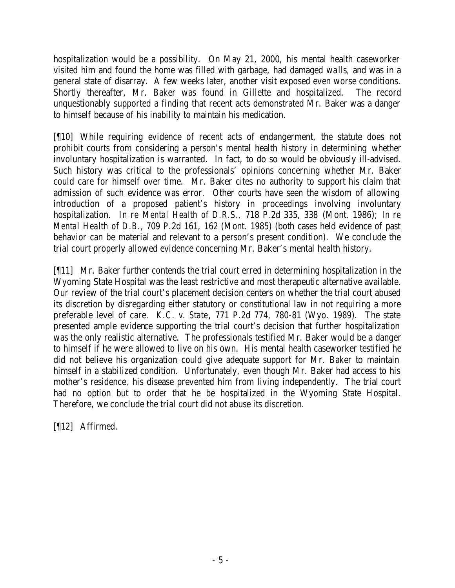hospitalization would be a possibility. On May 21, 2000, his mental health caseworker visited him and found the home was filled with garbage, had damaged walls, and was in a general state of disarray. A few weeks later, another visit exposed even worse conditions. Shortly thereafter, Mr. Baker was found in Gillette and hospitalized. The record unquestionably supported a finding that recent acts demonstrated Mr. Baker was a danger to himself because of his inability to maintain his medication.

[¶10] While requiring evidence of recent acts of endangerment, the statute does not prohibit courts from considering a person's mental health history in determining whether involuntary hospitalization is warranted. In fact, to do so would be obviously ill-advised. Such history was critical to the professionals' opinions concerning whether Mr. Baker could care for himself over time. Mr. Baker cites no authority to support his claim that admission of such evidence was error. Other courts have seen the wisdom of allowing introduction of a proposed patient's history in proceedings involving involuntary hospitalization. *In re Mental Health of D.R.S.,* 718 P.2d 335, 338 (Mont. 1986); *In re Mental Health of D.B.,* 709 P.2d 161, 162 (Mont. 1985) (both cases held evidence of past behavior can be material and relevant to a person's present condition). We conclude the trial court properly allowed evidence concerning Mr. Baker's mental health history.

[¶11] Mr. Baker further contends the trial court erred in determining hospitalization in the Wyoming State Hospital was the least restrictive and most therapeutic alternative available. Our review of the trial court's placement decision centers on whether the trial court abused its discretion by disregarding either statutory or constitutional law in not requiring a more preferable level of care. *K.C. v. State*, 771 P.2d 774, 780-81 (Wyo. 1989). The state presented ample evidence supporting the trial court's decision that further hospitalization was the only realistic alternative. The professionals testified Mr. Baker would be a danger to himself if he were allowed to live on his own. His mental health caseworker testified he did not believe his organization could give adequate support for Mr. Baker to maintain himself in a stabilized condition. Unfortunately, even though Mr. Baker had access to his mother's residence, his disease prevented him from living independently. The trial court had no option but to order that he be hospitalized in the Wyoming State Hospital. Therefore, we conclude the trial court did not abuse its discretion.

[¶12] Affirmed.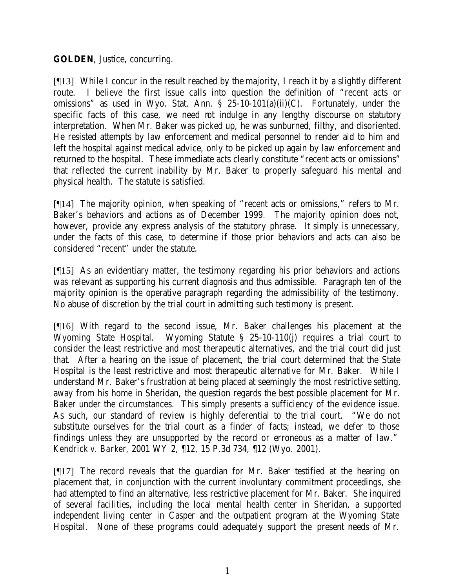# **GOLDEN**, Justice, concurring.

[¶13] While I concur in the result reached by the majority, I reach it by a slightly different route. I believe the first issue calls into question the definition of "recent acts or omissions" as used in Wyo. Stat. Ann.  $\S$  25-10-101(a)(ii)(C). Fortunately, under the specific facts of this case, we need not indulge in any lengthy discourse on statutory interpretation. When Mr. Baker was picked up, he was sunburned, filthy, and disoriented. He resisted attempts by law enforcement and medical personnel to render aid to him and left the hospital against medical advice, only to be picked up again by law enforcement and returned to the hospital. These immediate acts clearly constitute "recent acts or omissions" that reflected the current inability by Mr. Baker to properly safeguard his mental and physical health. The statute is satisfied.

[¶14] The majority opinion, when speaking of "recent acts or omissions," refers to Mr. Baker's behaviors and actions as of December 1999. The majority opinion does not, however, provide any express analysis of the statutory phrase. It simply is unnecessary, under the facts of this case, to determine if those prior behaviors and acts can also be considered "recent" under the statute.

[¶15] As an evidentiary matter, the testimony regarding his prior behaviors and actions was relevant as supporting his current diagnosis and thus admissible. Paragraph ten of the majority opinion is the operative paragraph regarding the admissibility of the testimony. No abuse of discretion by the trial court in admitting such testimony is present.

[¶16] With regard to the second issue, Mr. Baker challenges his placement at the Wyoming State Hospital. Wyoming Statute § 25-10-110(j) requires a trial court to consider the least restrictive and most therapeutic alternatives, and the trial court did just that. After a hearing on the issue of placement, the trial court determined that the State Hospital is the least restrictive and most therapeutic alternative for Mr. Baker. While I understand Mr. Baker's frustration at being placed at seemingly the most restrictive setting, away from his home in Sheridan, the question regards the best possible placement for Mr. Baker under the circumstances. This simply presents a sufficiency of the evidence issue. As such, our standard of review is highly deferential to the trial court. "We do not substitute ourselves for the trial court as a finder of facts; instead, we defer to those findings unless they are unsupported by the record or erroneous as a matter of law." *Kendrick v. Barker*, 2001 WY 2, ¶12, 15 P.3d 734, ¶12 (Wyo. 2001).

[¶17] The record reveals that the guardian for Mr. Baker testified at the hearing on placement that, in conjunction with the current involuntary commitment proceedings, she had attempted to find an alternative, less restrictive placement for Mr. Baker. She inquired of several facilities, including the local mental health center in Sheridan, a supported independent living center in Casper and the outpatient program at the Wyoming State Hospital. None of these programs could adequately support the present needs of Mr.